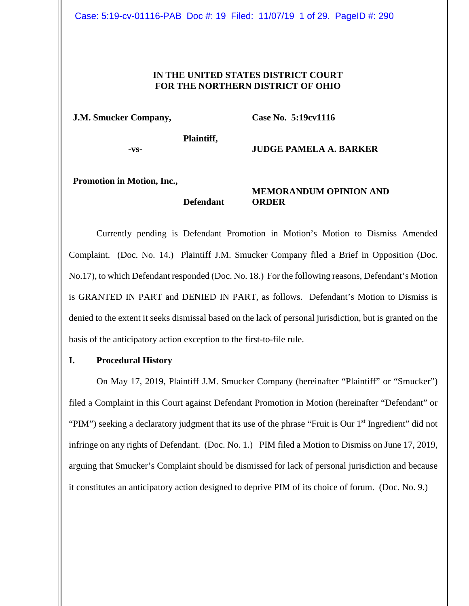## **IN THE UNITED STATES DISTRICT COURT FOR THE NORTHERN DISTRICT OF OHIO**

**J.M. Smucker Company,**

**Case No. 5:19cv1116**

**-vs-**

**Plaintiff,** 

**Defendant** 

**JUDGE PAMELA A. BARKER**

**Promotion in Motion, Inc.,** 

**MEMORANDUM OPINION AND ORDER**

Currently pending is Defendant Promotion in Motion's Motion to Dismiss Amended Complaint. (Doc. No. 14.) Plaintiff J.M. Smucker Company filed a Brief in Opposition (Doc. No.17), to which Defendant responded (Doc. No. 18.) For the following reasons, Defendant's Motion is GRANTED IN PART and DENIED IN PART, as follows. Defendant's Motion to Dismiss is denied to the extent it seeks dismissal based on the lack of personal jurisdiction, but is granted on the basis of the anticipatory action exception to the first-to-file rule.

#### **I. Procedural History**

On May 17, 2019, Plaintiff J.M. Smucker Company (hereinafter "Plaintiff" or "Smucker") filed a Complaint in this Court against Defendant Promotion in Motion (hereinafter "Defendant" or "PIM") seeking a declaratory judgment that its use of the phrase "Fruit is Our 1<sup>st</sup> Ingredient" did not infringe on any rights of Defendant. (Doc. No. 1.) PIM filed a Motion to Dismiss on June 17, 2019, arguing that Smucker's Complaint should be dismissed for lack of personal jurisdiction and because it constitutes an anticipatory action designed to deprive PIM of its choice of forum. (Doc. No. 9.)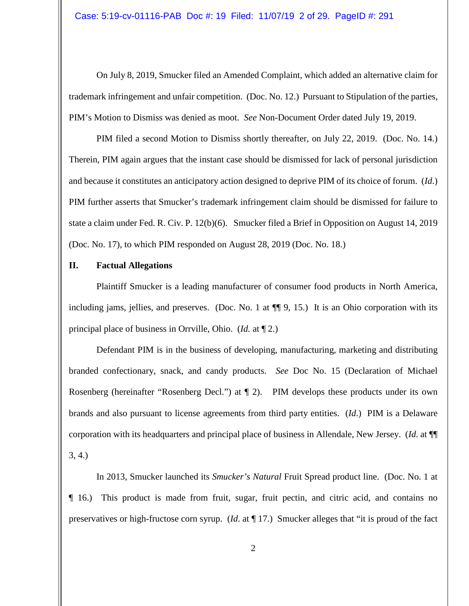On July 8, 2019, Smucker filed an Amended Complaint, which added an alternative claim for trademark infringement and unfair competition. (Doc. No. 12.) Pursuant to Stipulation of the parties, PIM's Motion to Dismiss was denied as moot. *See* Non-Document Order dated July 19, 2019.

PIM filed a second Motion to Dismiss shortly thereafter, on July 22, 2019. (Doc. No. 14.) Therein, PIM again argues that the instant case should be dismissed for lack of personal jurisdiction and because it constitutes an anticipatory action designed to deprive PIM of its choice of forum. (*Id*.) PIM further asserts that Smucker's trademark infringement claim should be dismissed for failure to state a claim under Fed. R. Civ. P. 12(b)(6). Smucker filed a Brief in Opposition on August 14, 2019 (Doc. No. 17), to which PIM responded on August 28, 2019 (Doc. No. 18.)

## **II. Factual Allegations**

Plaintiff Smucker is a leading manufacturer of consumer food products in North America, including jams, jellies, and preserves. (Doc. No. 1 at ¶¶ 9, 15.) It is an Ohio corporation with its principal place of business in Orrville, Ohio. (*Id.* at ¶ 2.)

Defendant PIM is in the business of developing, manufacturing, marketing and distributing branded confectionary, snack, and candy products. *See* Doc No. 15 (Declaration of Michael Rosenberg (hereinafter "Rosenberg Decl.") at ¶ 2). PIM develops these products under its own brands and also pursuant to license agreements from third party entities. (*Id*.) PIM is a Delaware corporation with its headquarters and principal place of business in Allendale, New Jersey. (*Id.* at ¶¶ 3, 4.)

In 2013, Smucker launched its *Smucker's Natural* Fruit Spread product line. (Doc. No. 1 at ¶ 16.) This product is made from fruit, sugar, fruit pectin, and citric acid, and contains no preservatives or high-fructose corn syrup. (*Id*. at ¶ 17.) Smucker alleges that "it is proud of the fact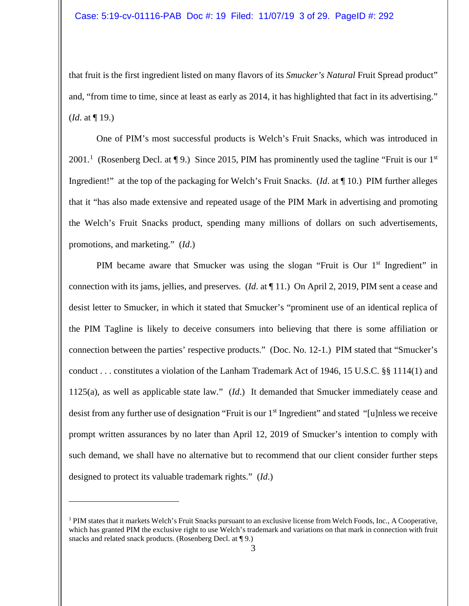that fruit is the first ingredient listed on many flavors of its *Smucker's Natural* Fruit Spread product" and, "from time to time, since at least as early as 2014, it has highlighted that fact in its advertising." (*Id*. at ¶ 19.)

One of PIM's most successful products is Welch's Fruit Snacks, which was introduced in 200[1](#page-2-0).<sup>1</sup> (Rosenberg Decl. at ¶ 9.) Since 2015, PIM has prominently used the tagline "Fruit is our 1<sup>st</sup> Ingredient!" at the top of the packaging for Welch's Fruit Snacks. (*Id*. at ¶ 10.) PIM further alleges that it "has also made extensive and repeated usage of the PIM Mark in advertising and promoting the Welch's Fruit Snacks product, spending many millions of dollars on such advertisements, promotions, and marketing." (*Id*.)

PIM became aware that Smucker was using the slogan "Fruit is Our 1<sup>st</sup> Ingredient" in connection with its jams, jellies, and preserves. (*Id*. at ¶ 11.) On April 2, 2019, PIM sent a cease and desist letter to Smucker, in which it stated that Smucker's "prominent use of an identical replica of the PIM Tagline is likely to deceive consumers into believing that there is some affiliation or connection between the parties' respective products." (Doc. No. 12-1.) PIM stated that "Smucker's conduct . . . constitutes a violation of the Lanham Trademark Act of 1946, 15 U.S.C. §§ 1114(1) and 1125(a), as well as applicable state law." (*Id*.) It demanded that Smucker immediately cease and desist from any further use of designation "Fruit is our 1<sup>st</sup> Ingredient" and stated "[u]nless we receive prompt written assurances by no later than April 12, 2019 of Smucker's intention to comply with such demand, we shall have no alternative but to recommend that our client consider further steps designed to protect its valuable trademark rights." (*Id*.)

<span id="page-2-0"></span><sup>1</sup> PIM states that it markets Welch's Fruit Snacks pursuant to an exclusive license from Welch Foods, Inc., A Cooperative, which has granted PIM the exclusive right to use Welch's trademark and variations on that mark in connection with fruit snacks and related snack products. (Rosenberg Decl. at  $\P$ 9.)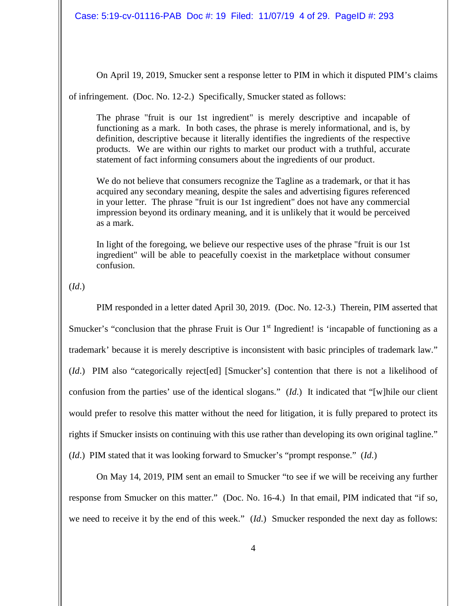On April 19, 2019, Smucker sent a response letter to PIM in which it disputed PIM's claims

of infringement. (Doc. No. 12-2.) Specifically, Smucker stated as follows:

The phrase "fruit is our 1st ingredient" is merely descriptive and incapable of functioning as a mark. In both cases, the phrase is merely informational, and is, by definition, descriptive because it literally identifies the ingredients of the respective products. We are within our rights to market our product with a truthful, accurate statement of fact informing consumers about the ingredients of our product.

We do not believe that consumers recognize the Tagline as a trademark, or that it has acquired any secondary meaning, despite the sales and advertising figures referenced in your letter. The phrase "fruit is our 1st ingredient" does not have any commercial impression beyond its ordinary meaning, and it is unlikely that it would be perceived as a mark.

In light of the foregoing, we believe our respective uses of the phrase "fruit is our 1st ingredient" will be able to peacefully coexist in the marketplace without consumer confusion.

(*Id*.)

PIM responded in a letter dated April 30, 2019. (Doc. No. 12-3.) Therein, PIM asserted that Smucker's "conclusion that the phrase Fruit is Our  $1<sup>st</sup>$  Ingredient! is 'incapable of functioning as a trademark' because it is merely descriptive is inconsistent with basic principles of trademark law." (*Id*.) PIM also "categorically reject[ed] [Smucker's] contention that there is not a likelihood of confusion from the parties' use of the identical slogans." (*Id*.) It indicated that "[w]hile our client would prefer to resolve this matter without the need for litigation, it is fully prepared to protect its rights if Smucker insists on continuing with this use rather than developing its own original tagline." (*Id*.) PIM stated that it was looking forward to Smucker's "prompt response." (*Id*.)

On May 14, 2019, PIM sent an email to Smucker "to see if we will be receiving any further response from Smucker on this matter." (Doc. No. 16-4.) In that email, PIM indicated that "if so, we need to receive it by the end of this week." (*Id*.) Smucker responded the next day as follows: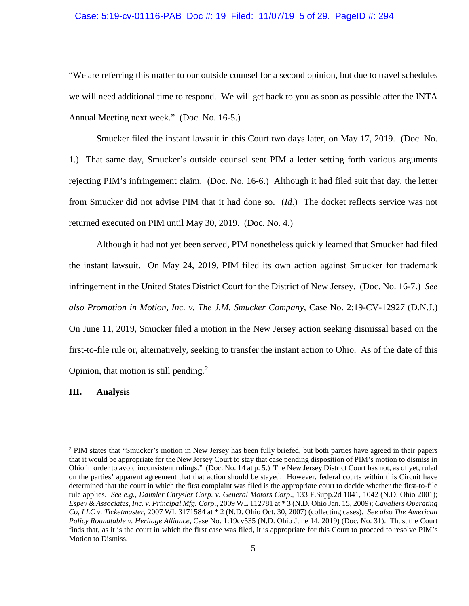"We are referring this matter to our outside counsel for a second opinion, but due to travel schedules we will need additional time to respond. We will get back to you as soon as possible after the INTA Annual Meeting next week." (Doc. No. 16-5.)

Smucker filed the instant lawsuit in this Court two days later, on May 17, 2019. (Doc. No. 1.) That same day, Smucker's outside counsel sent PIM a letter setting forth various arguments rejecting PIM's infringement claim. (Doc. No. 16-6.) Although it had filed suit that day, the letter from Smucker did not advise PIM that it had done so. (*Id*.) The docket reflects service was not returned executed on PIM until May 30, 2019. (Doc. No. 4.)

Although it had not yet been served, PIM nonetheless quickly learned that Smucker had filed the instant lawsuit. On May 24, 2019, PIM filed its own action against Smucker for trademark infringement in the United States District Court for the District of New Jersey. (Doc. No. 16-7.) *See also Promotion in Motion, Inc. v. The J.M. Smucker Company*, Case No. 2:19-CV-12927 (D.N.J.) On June 11, 2019, Smucker filed a motion in the New Jersey action seeking dismissal based on the first-to-file rule or, alternatively, seeking to transfer the instant action to Ohio. As of the date of this Opinion, that motion is still pending.<sup>[2](#page-4-0)</sup>

#### **III. Analysis**

<span id="page-4-0"></span><sup>2</sup> PIM states that "Smucker's motion in New Jersey has been fully briefed, but both parties have agreed in their papers that it would be appropriate for the New Jersey Court to stay that case pending disposition of PIM's motion to dismiss in Ohio in order to avoid inconsistent rulings." (Doc. No. 14 at p. 5.) The New Jersey District Court has not, as of yet, ruled on the parties' apparent agreement that that action should be stayed. However, federal courts within this Circuit have determined that the court in which the first complaint was filed is the appropriate court to decide whether the first-to-file rule applies. *See e.g., Daimler Chrysler Corp. v. General Motors Corp*., 133 F.Supp.2d 1041, 1042 (N.D. Ohio 2001); *Espey & Associates, Inc. v. Principal Mfg. Corp*., 2009 WL 112781 at \* 3 (N.D. Ohio Jan. 15, 2009); *Cavaliers Operating Co, LLC v. Ticketmaster*, 2007 WL 3171584 at \* 2 (N.D. Ohio Oct. 30, 2007) (collecting cases). *See also The American Policy Roundtable v. Heritage Alliance*, Case No. 1:19cv535 (N.D. Ohio June 14, 2019) (Doc. No. 31). Thus, the Court finds that, as it is the court in which the first case was filed, it is appropriate for this Court to proceed to resolve PIM's Motion to Dismiss.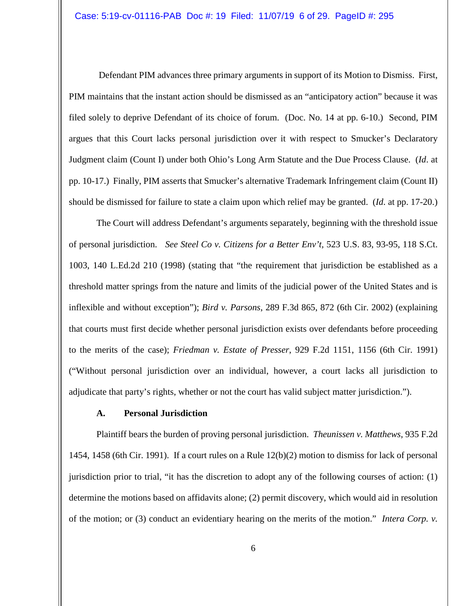Defendant PIM advances three primary arguments in support of its Motion to Dismiss. First, PIM maintains that the instant action should be dismissed as an "anticipatory action" because it was filed solely to deprive Defendant of its choice of forum. (Doc. No. 14 at pp. 6-10.) Second, PIM argues that this Court lacks personal jurisdiction over it with respect to Smucker's Declaratory Judgment claim (Count I) under both Ohio's Long Arm Statute and the Due Process Clause. (*Id*. at pp. 10-17.) Finally, PIM asserts that Smucker's alternative Trademark Infringement claim (Count II) should be dismissed for failure to state a claim upon which relief may be granted. (*Id*. at pp. 17-20.)

The Court will address Defendant's arguments separately, beginning with the threshold issue of personal jurisdiction. *See Steel Co v. Citizens for a Better Env't,* 523 U.S. 83, 93-95, 118 S.Ct. 1003, 140 L.Ed.2d 210 (1998) (stating that "the requirement that jurisdiction be established as a threshold matter springs from the nature and limits of the judicial power of the United States and is inflexible and without exception"); *Bird v. Parsons*, 289 F.3d 865, 872 (6th Cir. 2002) (explaining that courts must first decide whether personal jurisdiction exists over defendants before proceeding to the merits of the case); *Friedman v. Estate of Presser*, 929 F.2d 1151, 1156 (6th Cir. 1991) ("Without personal jurisdiction over an individual, however, a court lacks all jurisdiction to adjudicate that party's rights, whether or not the court has valid subject matter jurisdiction.").

# **A. Personal Jurisdiction**

Plaintiff bears the burden of proving personal jurisdiction. *Theunissen v. Matthews*, 935 F.2d 1454, 1458 (6th Cir. 1991). If a court rules on a Rule 12(b)(2) motion to dismiss for lack of personal jurisdiction prior to trial, "it has the discretion to adopt any of the following courses of action: (1) determine the motions based on affidavits alone; (2) permit discovery, which would aid in resolution of the motion; or (3) conduct an evidentiary hearing on the merits of the motion." *Intera Corp. v.*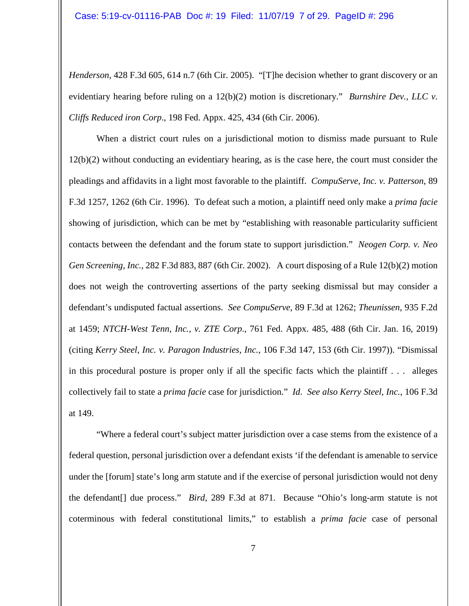*Henderson*, 428 F.3d 605, 614 n.7 (6th Cir. 2005). "[T]he decision whether to grant discovery or an evidentiary hearing before ruling on a 12(b)(2) motion is discretionary." *Burnshire Dev., LLC v. Cliffs Reduced iron Corp*., 198 Fed. Appx. 425, 434 (6th Cir. 2006).

When a district court rules on a jurisdictional motion to dismiss made pursuant to Rule 12(b)(2) without conducting an evidentiary hearing, as is the case here, the court must consider the pleadings and affidavits in a light most favorable to the plaintiff. *CompuServe, Inc. v. Patterson*, 89 F.3d 1257, 1262 (6th Cir. 1996). To defeat such a motion, a plaintiff need only make a *prima facie* showing of jurisdiction, which can be met by "establishing with reasonable particularity sufficient contacts between the defendant and the forum state to support jurisdiction." *Neogen Corp. v. Neo Gen Screening, Inc.,* 282 F.3d 883, 887 (6th Cir. 2002). A court disposing of a Rule 12(b)(2) motion does not weigh the controverting assertions of the party seeking dismissal but may consider a defendant's undisputed factual assertions. *See CompuServe*, 89 F.3d at 1262; *Theunissen*, 935 F.2d at 1459; *NTCH-West Tenn, Inc., v. ZTE Corp*., 761 Fed. Appx. 485, 488 (6th Cir. Jan. 16, 2019) (citing *Kerry Steel, Inc. v. Paragon Industries, Inc.*, 106 F.3d 147, 153 (6th Cir. 1997)). "Dismissal in this procedural posture is proper only if all the specific facts which the plaintiff . . . alleges collectively fail to state a *prima facie* case for jurisdiction." *Id*. *See also Kerry Steel, Inc.,* 106 F.3d at 149.

"Where a federal court's subject matter jurisdiction over a case stems from the existence of a federal question, personal jurisdiction over a defendant exists 'if the defendant is amenable to service under the [forum] state's long arm statute and if the exercise of personal jurisdiction would not deny the defendant[] due process." *Bird*, 289 F.3d at 871. Because "Ohio's long-arm statute is not coterminous with federal constitutional limits," to establish a *prima facie* case of personal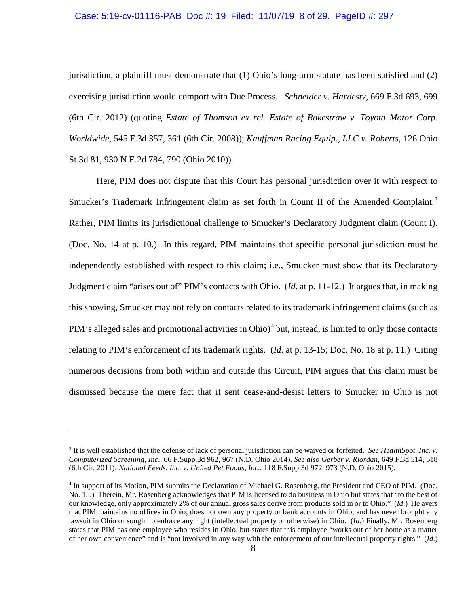jurisdiction, a plaintiff must demonstrate that (1) Ohio's long-arm statute has been satisfied and (2) exercising jurisdiction would comport with Due Process. *Schneider v. Hardesty*, 669 F.3d 693, 699 (6th Cir. 2012) (quoting *Estate of Thomson ex rel. Estate of Rakestraw v. Toyota Motor Corp. Worldwide*, 545 F.3d 357, 361 (6th Cir. 2008)); *Kauffman Racing Equip., LLC v. Roberts*, 126 Ohio St.3d 81, 930 N.E.2d 784, 790 (Ohio 2010)).

Here, PIM does not dispute that this Court has personal jurisdiction over it with respect to Smucker's Trademark Infringement claim as set forth in Count II of the Amended Complaint.<sup>[3](#page-7-0)</sup> Rather, PIM limits its jurisdictional challenge to Smucker's Declaratory Judgment claim (Count I). (Doc. No. 14 at p. 10.) In this regard, PIM maintains that specific personal jurisdiction must be independently established with respect to this claim; i.e., Smucker must show that its Declaratory Judgment claim "arises out of" PIM's contacts with Ohio. (*Id*. at p. 11-12.) It argues that, in making this showing, Smucker may not rely on contacts related to its trademark infringement claims (such as PIM's alleged sales and promotional activities in Ohio)<sup>[4](#page-7-1)</sup> but, instead, is limited to only those contacts relating to PIM's enforcement of its trademark rights. (*Id*. at p. 13-15; Doc. No. 18 at p. 11.) Citing numerous decisions from both within and outside this Circuit, PIM argues that this claim must be dismissed because the mere fact that it sent cease-and-desist letters to Smucker in Ohio is not

<span id="page-7-0"></span><sup>3</sup> It is well established that the defense of lack of personal jurisdiction can be waived or forfeited. *See HealthSpot, Inc. v. Computerized Screening, Inc*., 66 F.Supp.3d 962, 967 (N.D. Ohio 2014). *See also Gerber v. Riordan*, 649 F.3d 514, 518 (6th Cir. 2011); *National Feeds, Inc. v. United Pet Foods, Inc*., 118 F.Supp.3d 972, 973 (N.D. Ohio 2015).

<span id="page-7-1"></span><sup>4</sup> In support of its Motion, PIM submits the Declaration of Michael G. Rosenberg, the President and CEO of PIM. (Doc. No. 15.) Therein, Mr. Rosenberg acknowledges that PIM is licensed to do business in Ohio but states that "to the best of our knowledge, only approximately 2% of our annual gross sales derive from products sold in or to Ohio." (*Id.*) He avers that PIM maintains no offices in Ohio; does not own any property or bank accounts in Ohio; and has never brought any lawsuit in Ohio or sought to enforce any right (intellectual property or otherwise) in Ohio. (*Id*.) Finally, Mr. Rosenberg states that PIM has one employee who resides in Ohio, but states that this employee "works out of her home as a matter of her own convenience" and is "not involved in any way with the enforcement of our intellectual property rights." (*Id*.)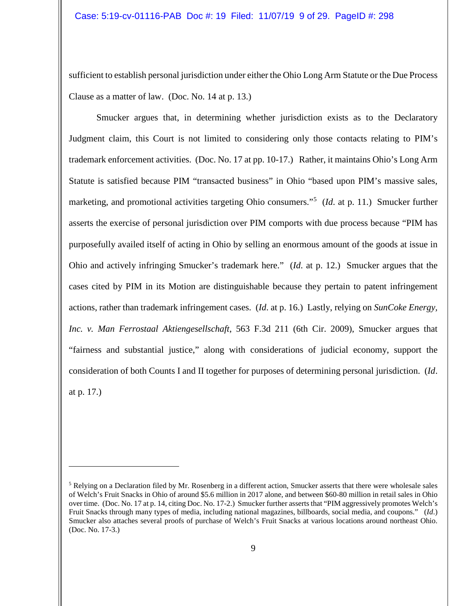sufficient to establish personal jurisdiction under either the Ohio Long Arm Statute or the Due Process Clause as a matter of law. (Doc. No. 14 at p. 13.)

Smucker argues that, in determining whether jurisdiction exists as to the Declaratory Judgment claim, this Court is not limited to considering only those contacts relating to PIM's trademark enforcement activities. (Doc. No. 17 at pp. 10-17.) Rather, it maintains Ohio's Long Arm Statute is satisfied because PIM "transacted business" in Ohio "based upon PIM's massive sales, marketing, and promotional activities targeting Ohio consumers."[5](#page-8-0) (*Id*. at p. 11.) Smucker further asserts the exercise of personal jurisdiction over PIM comports with due process because "PIM has purposefully availed itself of acting in Ohio by selling an enormous amount of the goods at issue in Ohio and actively infringing Smucker's trademark here." (*Id*. at p. 12.) Smucker argues that the cases cited by PIM in its Motion are distinguishable because they pertain to patent infringement actions, rather than trademark infringement cases. (*Id*. at p. 16.) Lastly, relying on *SunCoke Energy, Inc. v. Man Ferrostaal Aktiengesellschaft*, 563 F.3d 211 (6th Cir. 2009), Smucker argues that "fairness and substantial justice," along with considerations of judicial economy, support the consideration of both Counts I and II together for purposes of determining personal jurisdiction. (*Id*. at p. 17.)

<span id="page-8-0"></span> $<sup>5</sup>$  Relying on a Declaration filed by Mr. Rosenberg in a different action, Smucker asserts that there were wholesale sales</sup> of Welch's Fruit Snacks in Ohio of around \$5.6 million in 2017 alone, and between \$60-80 million in retail sales in Ohio over time. (Doc. No. 17 at p. 14, citing Doc. No. 17-2.) Smucker further asserts that "PIM aggressively promotes Welch's Fruit Snacks through many types of media, including national magazines, billboards, social media, and coupons." (*Id*.) Smucker also attaches several proofs of purchase of Welch's Fruit Snacks at various locations around northeast Ohio. (Doc. No. 17-3.)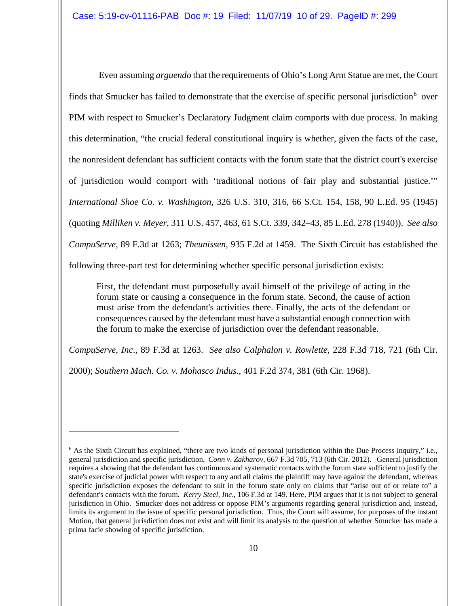Even assuming *arguendo* that the requirements of Ohio's Long Arm Statue are met, the Court finds that Smucker has failed to demonstrate that the exercise of specific personal jurisdiction<sup>[6](#page-9-0)</sup> over PIM with respect to Smucker's Declaratory Judgment claim comports with due process. In making this determination, "the crucial federal constitutional inquiry is whether, given the facts of the case, the nonresident defendant has sufficient contacts with the forum state that the district court's exercise of jurisdiction would comport with 'traditional notions of fair play and substantial justice.'" *International Shoe Co. v. Washington*, 326 U.S. 310, 316, 66 S.Ct. 154, 158, 90 L.Ed. 95 (1945) (quoting *Milliken v. Meyer*, 311 U.S. 457, 463, 61 S.Ct. 339, 342–43, 85 L.Ed. 278 (1940)). *See also CompuServe*, 89 F.3d at 1263; *Theunissen*, 935 F.2d at 1459. The Sixth Circuit has established the following three-part test for determining whether specific personal jurisdiction exists:

First, the defendant must purposefully avail himself of the privilege of acting in the forum state or causing a consequence in the forum state. Second, the cause of action must arise from the defendant's activities there. Finally, the acts of the defendant or consequences caused by the defendant must have a substantial enough connection with the forum to make the exercise of jurisdiction over the defendant reasonable.

*CompuServe, Inc*., 89 F.3d at 1263. *See also Calphalon v. Rowlette*, 228 F.3d 718, 721 (6th Cir.

2000); *Southern Mach. Co. v. Mohasco Indus*., 401 F.2d 374, 381 (6th Cir. 1968).

<span id="page-9-0"></span> $6$  As the Sixth Circuit has explained, "there are two kinds of personal jurisdiction within the Due Process inquiry," i.e., general jurisdiction and specific jurisdiction. *Conn v. Zakharov*, 667 F.3d 705, 713 (6th Cir. 2012). General jurisdiction requires a showing that the defendant has continuous and systematic contacts with the forum state sufficient to justify the state's exercise of judicial power with respect to any and all claims the plaintiff may have against the defendant, whereas specific jurisdiction exposes the defendant to suit in the forum state only on claims that "arise out of or relate to" a defendant's contacts with the forum. *Kerry Steel, Inc*., 106 F.3d at 149. Here, PIM argues that it is not subject to general jurisdiction in Ohio. Smucker does not address or oppose PIM's arguments regarding general jurisdiction and, instead, limits its argument to the issue of specific personal jurisdiction. Thus, the Court will assume, for purposes of the instant Motion, that general jurisdiction does not exist and will limit its analysis to the question of whether Smucker has made a prima facie showing of specific jurisdiction.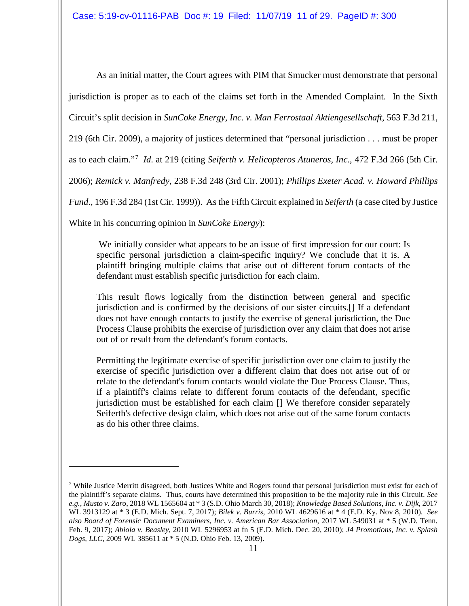As an initial matter, the Court agrees with PIM that Smucker must demonstrate that personal jurisdiction is proper as to each of the claims set forth in the Amended Complaint. In the Sixth Circuit's split decision in *SunCoke Energy, Inc. v. Man Ferrostaal Aktiengesellschaft*, 563 F.3d 211, 219 (6th Cir. 2009), a majority of justices determined that "personal jurisdiction . . . must be proper as to each claim."[7](#page-10-0) *Id*. at 219 (citing *Seiferth v. Helicopteros Atuneros, Inc*., 472 F.3d 266 (5th Cir. 2006); *Remick v. Manfredy*, 238 F.3d 248 (3rd Cir. 2001); *Phillips Exeter Acad. v. Howard Phillips Fund*., 196 F.3d 284 (1st Cir. 1999)). As the Fifth Circuit explained in *Seiferth* (a case cited by Justice White in his concurring opinion in *SunCoke Energy*):

We initially consider what appears to be an issue of first impression for our court: Is specific personal jurisdiction a claim-specific inquiry? We conclude that it is. A plaintiff bringing multiple claims that arise out of different forum contacts of the defendant must establish specific jurisdiction for each claim.

This result flows logically from the distinction between general and specific jurisdiction and is confirmed by the decisions of our sister circuits.[] If a defendant does not have enough contacts to justify the exercise of general jurisdiction, the Due Process Clause prohibits the exercise of jurisdiction over any claim that does not arise out of or result from the defendant's forum contacts.

Permitting the legitimate exercise of specific jurisdiction over one claim to justify the exercise of specific jurisdiction over a different claim that does not arise out of or relate to the defendant's forum contacts would violate the Due Process Clause. Thus, if a plaintiff's claims relate to different forum contacts of the defendant, specific jurisdiction must be established for each claim [] We therefore consider separately Seiferth's defective design claim, which does not arise out of the same forum contacts as do his other three claims.

<span id="page-10-0"></span><sup>&</sup>lt;sup>7</sup> While Justice Merritt disagreed, both Justices White and Rogers found that personal jurisdiction must exist for each of the plaintiff's separate claims. Thus, courts have determined this proposition to be the majority rule in this Circuit. *See e.g., Musto v. Zaro*, 2018 WL 1565604 at \* 3 (S.D. Ohio March 30, 2018); *Knowledge Based Solutions, Inc. v. Dijk*, 2017 WL 3913129 at \* 3 (E.D. Mich. Sept. 7, 2017); *Bilek v. Burris*, 2010 WL 4629616 at \* 4 (E.D. Ky. Nov 8, 2010). *See also Board of Forensic Document Examiners, Inc. v. American Bar Association,* 2017 WL 549031 at \* 5 (W.D. Tenn. Feb. 9, 2017); *Abiola v. Beasley*, 2010 WL 5296953 at fn 5 (E.D. Mich. Dec. 20, 2010); *J4 Promotions, Inc. v. Splash Dogs, LLC*, 2009 WL 385611 at \* 5 (N.D. Ohio Feb. 13, 2009).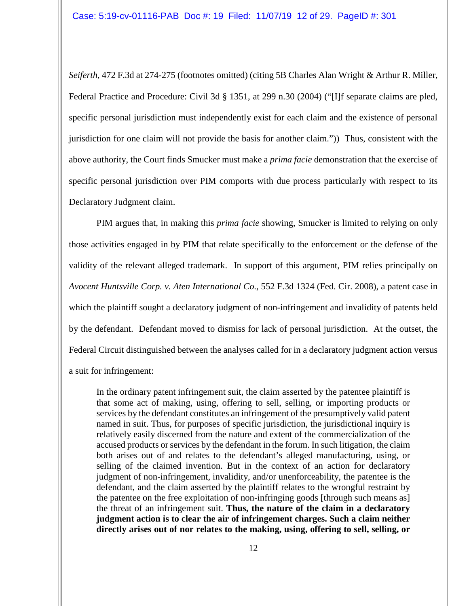*Seiferth*, 472 F.3d at 274-275 (footnotes omitted) (citing 5B Charles Alan Wright & Arthur R. Miller, Federal Practice and Procedure: Civil 3d § 1351, at 299 n.30 (2004) ("[I]f separate claims are pled, specific personal jurisdiction must independently exist for each claim and the existence of personal jurisdiction for one claim will not provide the basis for another claim.")) Thus, consistent with the above authority, the Court finds Smucker must make a *prima facie* demonstration that the exercise of specific personal jurisdiction over PIM comports with due process particularly with respect to its Declaratory Judgment claim.

PIM argues that, in making this *prima facie* showing, Smucker is limited to relying on only those activities engaged in by PIM that relate specifically to the enforcement or the defense of the validity of the relevant alleged trademark. In support of this argument, PIM relies principally on *Avocent Huntsville Corp. v. Aten International Co*., 552 F.3d 1324 (Fed. Cir. 2008), a patent case in which the plaintiff sought a declaratory judgment of non-infringement and invalidity of patents held by the defendant. Defendant moved to dismiss for lack of personal jurisdiction. At the outset, the Federal Circuit distinguished between the analyses called for in a declaratory judgment action versus a suit for infringement:

In the ordinary patent infringement suit, the claim asserted by the patentee plaintiff is that some act of making, using, offering to sell, selling, or importing products or services by the defendant constitutes an infringement of the presumptively valid patent named in suit. Thus, for purposes of specific jurisdiction, the jurisdictional inquiry is relatively easily discerned from the nature and extent of the commercialization of the accused products or services by the defendant in the forum. In such litigation, the claim both arises out of and relates to the defendant's alleged manufacturing, using, or selling of the claimed invention. But in the context of an action for declaratory judgment of non-infringement, invalidity, and/or unenforceability, the patentee is the defendant, and the claim asserted by the plaintiff relates to the wrongful restraint by the patentee on the free exploitation of non-infringing goods [through such means as] the threat of an infringement suit. **Thus, the nature of the claim in a declaratory judgment action is to clear the air of infringement charges. Such a claim neither directly arises out of nor relates to the making, using, offering to sell, selling, or**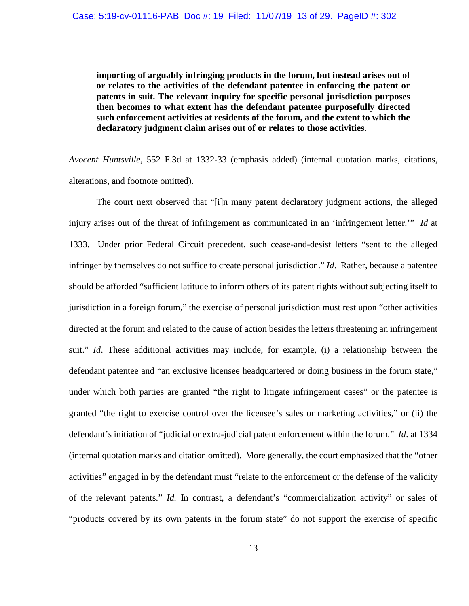**importing of arguably infringing products in the forum, but instead arises out of or relates to the activities of the defendant patentee in enforcing the patent or patents in suit. The relevant inquiry for specific personal jurisdiction purposes then becomes to what extent has the defendant patentee purposefully directed such enforcement activities at residents of the forum, and the extent to which the declaratory judgment claim arises out of or relates to those activities**.

*Avocent Huntsville*, 552 F.3d at 1332-33 (emphasis added) (internal quotation marks, citations, alterations, and footnote omitted).

The court next observed that "[i]n many patent declaratory judgment actions, the alleged injury arises out of the threat of infringement as communicated in an 'infringement letter.'" *Id* at 1333. Under prior Federal Circuit precedent, such cease-and-desist letters "sent to the alleged infringer by themselves do not suffice to create personal jurisdiction." *Id*. Rather, because a patentee should be afforded "sufficient latitude to inform others of its patent rights without subjecting itself to jurisdiction in a foreign forum," the exercise of personal jurisdiction must rest upon "other activities directed at the forum and related to the cause of action besides the letters threatening an infringement suit." *Id*. These additional activities may include, for example, (i) a relationship between the defendant patentee and "an exclusive licensee headquartered or doing business in the forum state," under which both parties are granted "the right to litigate infringement cases" or the patentee is granted "the right to exercise control over the licensee's sales or marketing activities," or (ii) the defendant's initiation of "judicial or extra-judicial patent enforcement within the forum." *Id*. at 1334 (internal quotation marks and citation omitted). More generally, the court emphasized that the "other activities" engaged in by the defendant must "relate to the enforcement or the defense of the validity of the relevant patents." *Id.* In contrast, a defendant's "commercialization activity" or sales of "products covered by its own patents in the forum state" do not support the exercise of specific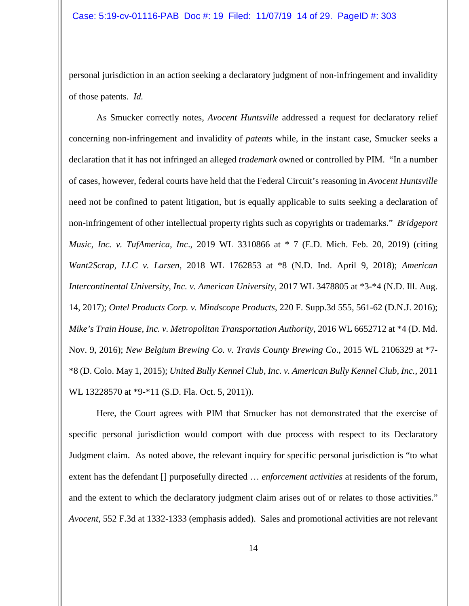personal jurisdiction in an action seeking a declaratory judgment of non-infringement and invalidity of those patents. *Id.*

As Smucker correctly notes, *Avocent Huntsville* addressed a request for declaratory relief concerning non-infringement and invalidity of *patents* while, in the instant case, Smucker seeks a declaration that it has not infringed an alleged *trademark* owned or controlled by PIM. "In a number of cases, however, federal courts have held that the Federal Circuit's reasoning in *Avocent Huntsville* need not be confined to patent litigation, but is equally applicable to suits seeking a declaration of non-infringement of other intellectual property rights such as copyrights or trademarks." *Bridgeport Music, Inc. v. TufAmerica, Inc*., 2019 WL 3310866 at \* 7 (E.D. Mich. Feb. 20, 2019) (citing *Want2Scrap, LLC v. Larsen*, 2018 WL 1762853 at \*8 (N.D. Ind. April 9, 2018); *American Intercontinental University, Inc. v. American University*, 2017 WL 3478805 at \*3-\*4 (N.D. Ill. Aug. 14, 2017); *Ontel Products Corp. v. Mindscope Products*, 220 F. Supp.3d 555, 561-62 (D.N.J. 2016); *Mike's Train House, Inc. v. Metropolitan Transportation Authority*, 2016 WL 6652712 at \*4 (D. Md. Nov. 9, 2016); *New Belgium Brewing Co. v. Travis County Brewing Co*., 2015 WL 2106329 at \*7- \*8 (D. Colo. May 1, 2015); *United Bully Kennel Club, Inc. v. American Bully Kennel Club, Inc.,* 2011 WL 13228570 at \*9-\*11 (S.D. Fla. Oct. 5, 2011)).

Here, the Court agrees with PIM that Smucker has not demonstrated that the exercise of specific personal jurisdiction would comport with due process with respect to its Declaratory Judgment claim. As noted above, the relevant inquiry for specific personal jurisdiction is "to what extent has the defendant [] purposefully directed … *enforcement activities* at residents of the forum, and the extent to which the declaratory judgment claim arises out of or relates to those activities." *Avocent*, 552 F.3d at 1332-1333 (emphasis added). Sales and promotional activities are not relevant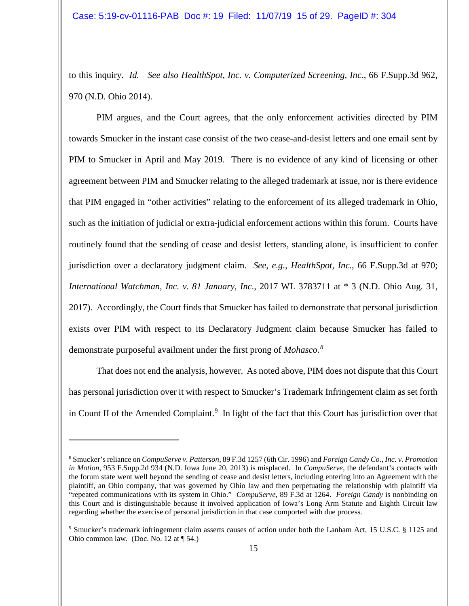to this inquiry. *Id. See also HealthSpot, Inc. v. Computerized Screening, Inc*., 66 F.Supp.3d 962, 970 (N.D. Ohio 2014).

PIM argues, and the Court agrees, that the only enforcement activities directed by PIM towards Smucker in the instant case consist of the two cease-and-desist letters and one email sent by PIM to Smucker in April and May 2019. There is no evidence of any kind of licensing or other agreement between PIM and Smucker relating to the alleged trademark at issue, nor is there evidence that PIM engaged in "other activities" relating to the enforcement of its alleged trademark in Ohio, such as the initiation of judicial or extra-judicial enforcement actions within this forum. Courts have routinely found that the sending of cease and desist letters, standing alone, is insufficient to confer jurisdiction over a declaratory judgment claim. *See, e.g., HealthSpot, Inc.*, 66 F.Supp.3d at 970; *International Watchman, Inc. v. 81 January, Inc*., 2017 WL 3783711 at \* 3 (N.D. Ohio Aug. 31, 2017). Accordingly, the Court finds that Smucker has failed to demonstrate that personal jurisdiction exists over PIM with respect to its Declaratory Judgment claim because Smucker has failed to demonstrate purposeful availment under the first prong of *Mohasco. [8](#page-14-0)*

That does not end the analysis, however. As noted above, PIM does not dispute that this Court has personal jurisdiction over it with respect to Smucker's Trademark Infringement claim as set forth in Count II of the Amended Complaint. $9\;$  $9\;$  In light of the fact that this Court has jurisdiction over that

<span id="page-14-0"></span><sup>8</sup> Smucker's reliance on *CompuServe v. Patterson*, 89 F.3d 1257 (6th Cir. 1996) and *Foreign Candy Co., Inc. v. Promotion in Motion*, 953 F.Supp.2d 934 (N.D. Iowa June 20, 2013) is misplaced. In *CompuServe*, the defendant's contacts with the forum state went well beyond the sending of cease and desist letters, including entering into an Agreement with the plaintiff, an Ohio company, that was governed by Ohio law and then perpetuating the relationship with plaintiff via "repeated communications with its system in Ohio." *CompuServe*, 89 F.3d at 1264. *Foreign Candy* is nonbinding on this Court and is distinguishable because it involved application of Iowa's Long Arm Statute and Eighth Circuit law regarding whether the exercise of personal jurisdiction in that case comported with due process.

<span id="page-14-1"></span><sup>&</sup>lt;sup>9</sup> Smucker's trademark infringement claim asserts causes of action under both the Lanham Act, 15 U.S.C. § 1125 and Ohio common law. (Doc. No. 12 at ¶ 54.)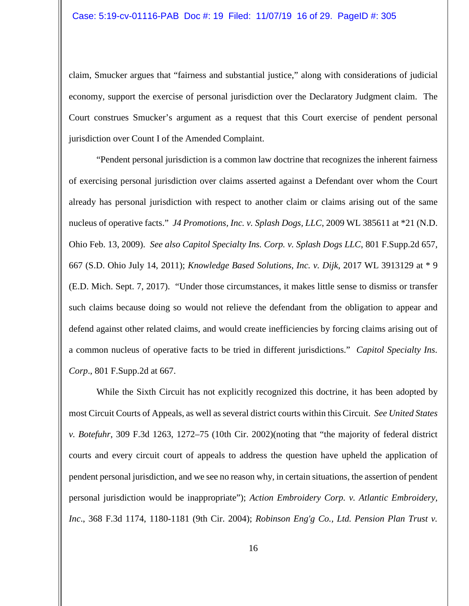claim, Smucker argues that "fairness and substantial justice," along with considerations of judicial economy, support the exercise of personal jurisdiction over the Declaratory Judgment claim. The Court construes Smucker's argument as a request that this Court exercise of pendent personal jurisdiction over Count I of the Amended Complaint.

"Pendent personal jurisdiction is a common law doctrine that recognizes the inherent fairness of exercising personal jurisdiction over claims asserted against a Defendant over whom the Court already has personal jurisdiction with respect to another claim or claims arising out of the same nucleus of operative facts." *J4 Promotions, Inc. v. Splash Dogs, LLC*, 2009 WL 385611 at \*21 (N.D. Ohio Feb. 13, 2009). *See also Capitol Specialty Ins. Corp. v. Splash Dogs LLC*, 801 F.Supp.2d 657, 667 (S.D. Ohio July 14, 2011); *Knowledge Based Solutions, Inc. v. Dijk*, 2017 WL 3913129 at \* 9 (E.D. Mich. Sept. 7, 2017). "Under those circumstances, it makes little sense to dismiss or transfer such claims because doing so would not relieve the defendant from the obligation to appear and defend against other related claims, and would create inefficiencies by forcing claims arising out of a common nucleus of operative facts to be tried in different jurisdictions." *Capitol Specialty Ins. Corp*., 801 F.Supp.2d at 667.

While the Sixth Circuit has not explicitly recognized this doctrine, it has been adopted by most Circuit Courts of Appeals, as well as several district courts within this Circuit. *See United States v. Botefuhr*, 309 F.3d 1263, 1272–75 (10th Cir. 2002)(noting that "the majority of federal district courts and every circuit court of appeals to address the question have upheld the application of pendent personal jurisdiction, and we see no reason why, in certain situations, the assertion of pendent personal jurisdiction would be inappropriate"); *Action Embroidery Corp. v. Atlantic Embroidery, Inc*., 368 F.3d 1174, 1180-1181 (9th Cir. 2004); *Robinson Eng'g Co., Ltd. Pension Plan Trust v.*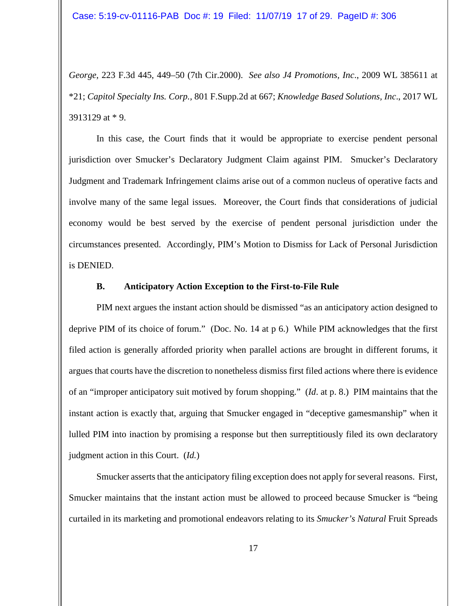*George*, 223 F.3d 445, 449–50 (7th Cir.2000). *See also J4 Promotions, Inc*., 2009 WL 385611 at \*21; *Capitol Specialty Ins. Corp.,* 801 F.Supp.2d at 667; *Knowledge Based Solutions, Inc*., 2017 WL 3913129 at \* 9.

In this case, the Court finds that it would be appropriate to exercise pendent personal jurisdiction over Smucker's Declaratory Judgment Claim against PIM. Smucker's Declaratory Judgment and Trademark Infringement claims arise out of a common nucleus of operative facts and involve many of the same legal issues. Moreover, the Court finds that considerations of judicial economy would be best served by the exercise of pendent personal jurisdiction under the circumstances presented. Accordingly, PIM's Motion to Dismiss for Lack of Personal Jurisdiction is DENIED.

#### **B. Anticipatory Action Exception to the First-to-File Rule**

PIM next argues the instant action should be dismissed "as an anticipatory action designed to deprive PIM of its choice of forum." (Doc. No. 14 at p 6.) While PIM acknowledges that the first filed action is generally afforded priority when parallel actions are brought in different forums, it argues that courts have the discretion to nonetheless dismiss first filed actions where there is evidence of an "improper anticipatory suit motived by forum shopping." (*Id*. at p. 8.) PIM maintains that the instant action is exactly that, arguing that Smucker engaged in "deceptive gamesmanship" when it lulled PIM into inaction by promising a response but then surreptitiously filed its own declaratory judgment action in this Court. (*Id.*)

Smucker asserts that the anticipatory filing exception does not apply for several reasons. First, Smucker maintains that the instant action must be allowed to proceed because Smucker is "being curtailed in its marketing and promotional endeavors relating to its *Smucker's Natural* Fruit Spreads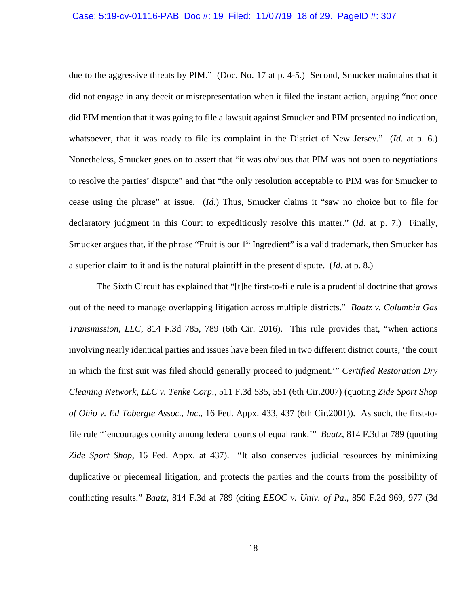due to the aggressive threats by PIM." (Doc. No. 17 at p. 4-5.) Second, Smucker maintains that it did not engage in any deceit or misrepresentation when it filed the instant action, arguing "not once did PIM mention that it was going to file a lawsuit against Smucker and PIM presented no indication, whatsoever, that it was ready to file its complaint in the District of New Jersey." (*Id.* at p. 6.) Nonetheless, Smucker goes on to assert that "it was obvious that PIM was not open to negotiations to resolve the parties' dispute" and that "the only resolution acceptable to PIM was for Smucker to cease using the phrase" at issue. (*Id*.) Thus, Smucker claims it "saw no choice but to file for declaratory judgment in this Court to expeditiously resolve this matter." (*Id*. at p. 7.) Finally, Smucker argues that, if the phrase "Fruit is our  $1<sup>st</sup>$  Ingredient" is a valid trademark, then Smucker has a superior claim to it and is the natural plaintiff in the present dispute. (*Id*. at p. 8.)

The Sixth Circuit has explained that "[t]he first-to-file rule is a prudential doctrine that grows out of the need to manage overlapping litigation across multiple districts." *Baatz v. Columbia Gas Transmission, LLC*, 814 F.3d 785, 789 (6th Cir. 2016). This rule provides that, "when actions involving nearly identical parties and issues have been filed in two different district courts, 'the court in which the first suit was filed should generally proceed to judgment.'" *Certified Restoration Dry Cleaning Network, LLC v. Tenke Corp*., 511 F.3d 535, 551 (6th Cir.2007) (quoting *Zide Sport Shop of Ohio v. Ed Tobergte Assoc., Inc*., 16 Fed. Appx. 433, 437 (6th Cir.2001)). As such, the first-tofile rule "'encourages comity among federal courts of equal rank.'" *Baatz*, 814 F.3d at 789 (quoting *Zide Sport Shop*, 16 Fed. Appx. at 437). "It also conserves judicial resources by minimizing duplicative or piecemeal litigation, and protects the parties and the courts from the possibility of conflicting results." *Baatz*, 814 F.3d at 789 (citing *EEOC v. Univ. of Pa*., 850 F.2d 969, 977 (3d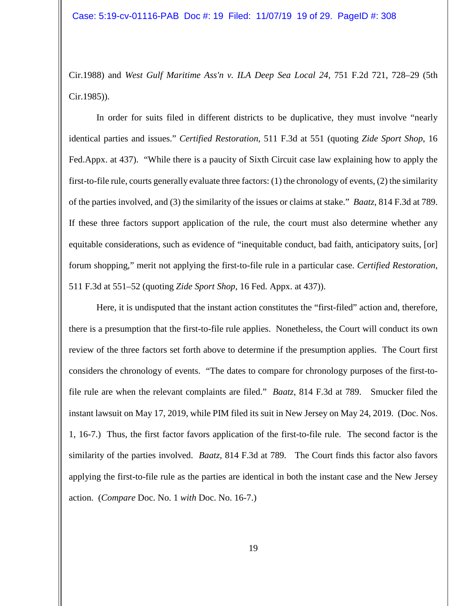Cir.1988) and *West Gulf Maritime Ass'n v. ILA Deep Sea Local 24*, 751 F.2d 721, 728–29 (5th Cir.1985)).

In order for suits filed in different districts to be duplicative, they must involve "nearly identical parties and issues." *Certified Restoration*, 511 F.3d at 551 (quoting *Zide Sport Shop*, 16 Fed.Appx. at 437). "While there is a paucity of Sixth Circuit case law explaining how to apply the first-to-file rule, courts generally evaluate three factors: (1) the chronology of events, (2) the similarity of the parties involved, and (3) the similarity of the issues or claims at stake." *Baatz*, 814 F.3d at 789. If these three factors support application of the rule, the court must also determine whether any equitable considerations, such as evidence of "inequitable conduct, bad faith, anticipatory suits, [or] forum shopping," merit not applying the first-to-file rule in a particular case. *Certified Restoration*, 511 F.3d at 551–52 (quoting *Zide Sport Shop*, 16 Fed. Appx. at 437)).

Here, it is undisputed that the instant action constitutes the "first-filed" action and, therefore, there is a presumption that the first-to-file rule applies. Nonetheless, the Court will conduct its own review of the three factors set forth above to determine if the presumption applies. The Court first considers the chronology of events. "The dates to compare for chronology purposes of the first-tofile rule are when the relevant complaints are filed." *Baatz*, 814 F.3d at 789. Smucker filed the instant lawsuit on May 17, 2019, while PIM filed its suit in New Jersey on May 24, 2019. (Doc. Nos. 1, 16-7.) Thus, the first factor favors application of the first-to-file rule. The second factor is the similarity of the parties involved. *Baatz,* 814 F.3d at 789. The Court finds this factor also favors applying the first-to-file rule as the parties are identical in both the instant case and the New Jersey action. (*Compare* Doc. No. 1 *with* Doc. No. 16-7.)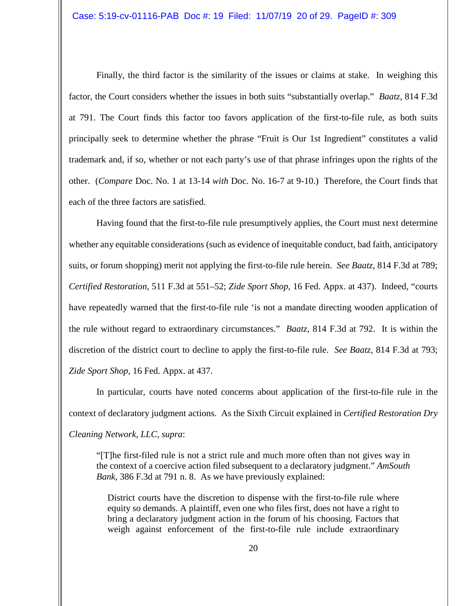Finally, the third factor is the similarity of the issues or claims at stake. In weighing this factor, the Court considers whether the issues in both suits "substantially overlap." *Baatz*, 814 F.3d at 791. The Court finds this factor too favors application of the first-to-file rule, as both suits principally seek to determine whether the phrase "Fruit is Our 1st Ingredient" constitutes a valid trademark and, if so, whether or not each party's use of that phrase infringes upon the rights of the other. (*Compare* Doc. No. 1 at 13-14 *with* Doc. No. 16-7 at 9-10.) Therefore, the Court finds that each of the three factors are satisfied.

Having found that the first-to-file rule presumptively applies, the Court must next determine whether any equitable considerations (such as evidence of inequitable conduct, bad faith, anticipatory suits, or forum shopping) merit not applying the first-to-file rule herein. *See Baatz*, 814 F.3d at 789; *Certified Restoration*, 511 F.3d at 551–52; *Zide Sport Shop*, 16 Fed. Appx. at 437). Indeed, "courts have repeatedly warned that the first-to-file rule 'is not a mandate directing wooden application of the rule without regard to extraordinary circumstances." *Baatz*, 814 F.3d at 792. It is within the discretion of the district court to decline to apply the first-to-file rule. *See Baatz*, 814 F.3d at 793; *Zide Sport Shop*, 16 Fed. Appx. at 437.

In particular, courts have noted concerns about application of the first-to-file rule in the context of declaratory judgment actions. As the Sixth Circuit explained in *Certified Restoration Dry Cleaning Network, LLC, supra*:

"[T]he first-filed rule is not a strict rule and much more often than not gives way in the context of a coercive action filed subsequent to a declaratory judgment." *AmSouth Bank*, 386 F.3d at 791 n. 8. As we have previously explained:

District courts have the discretion to dispense with the first-to-file rule where equity so demands. A plaintiff, even one who files first, does not have a right to bring a declaratory judgment action in the forum of his choosing. Factors that weigh against enforcement of the first-to-file rule include extraordinary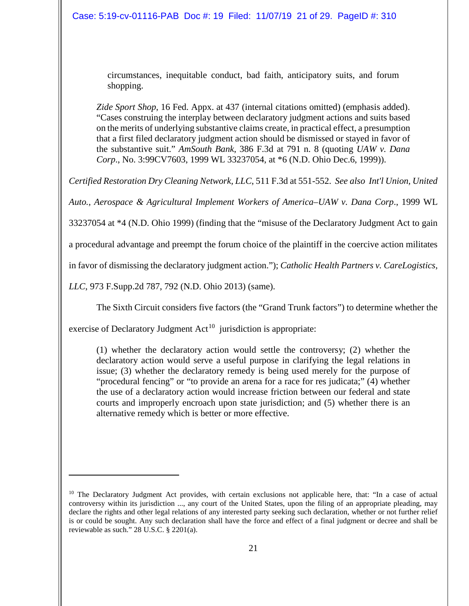circumstances, inequitable conduct, bad faith, anticipatory suits, and forum shopping.

*Zide Sport Shop*, 16 Fed. Appx. at 437 (internal citations omitted) (emphasis added). "Cases construing the interplay between declaratory judgment actions and suits based on the merits of underlying substantive claims create, in practical effect, a presumption that a first filed declaratory judgment action should be dismissed or stayed in favor of the substantive suit." *AmSouth Bank*, 386 F.3d at 791 n. 8 (quoting *UAW v. Dana Corp*., No. 3:99CV7603, 1999 WL 33237054, at \*6 (N.D. Ohio Dec.6, 1999)).

*Certified Restoration Dry Cleaning Network, LLC*, 511 F.3d at 551-552. *See also Int'l Union, United* 

*Auto., Aerospace & Agricultural Implement Workers of America–UAW v. Dana Corp*., 1999 WL

33237054 at \*4 (N.D. Ohio 1999) (finding that the "misuse of the Declaratory Judgment Act to gain

a procedural advantage and preempt the forum choice of the plaintiff in the coercive action militates

in favor of dismissing the declaratory judgment action."); *Catholic Health Partners v. CareLogistics,* 

*LLC*, 973 F.Supp.2d 787, 792 (N.D. Ohio 2013) (same).

 $\overline{a}$ 

The Sixth Circuit considers five factors (the "Grand Trunk factors") to determine whether the

exercise of Declaratory Judgment  $Act^{10}$  $Act^{10}$  $Act^{10}$  jurisdiction is appropriate:

(1) whether the declaratory action would settle the controversy; (2) whether the declaratory action would serve a useful purpose in clarifying the legal relations in issue; (3) whether the declaratory remedy is being used merely for the purpose of "procedural fencing" or "to provide an arena for a race for res judicata;" (4) whether the use of a declaratory action would increase friction between our federal and state courts and improperly encroach upon state jurisdiction; and (5) whether there is an alternative remedy which is better or more effective.

<span id="page-20-0"></span><sup>&</sup>lt;sup>10</sup> The Declaratory Judgment Act provides, with certain exclusions not applicable here, that: "In a case of actual controversy within its jurisdiction ..., any court of the United States, upon the filing of an appropriate pleading, may declare the rights and other legal relations of any interested party seeking such declaration, whether or not further relief is or could be sought. Any such declaration shall have the force and effect of a final judgment or decree and shall be reviewable as such." 28 U.S.C. § 2201(a).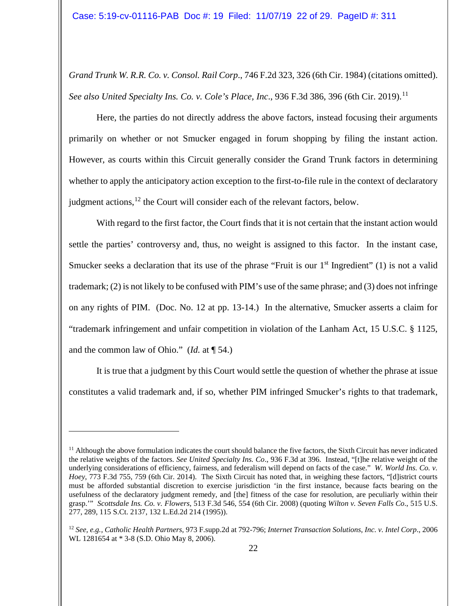*Grand Trunk W. R.R. Co. v. Consol. Rail Corp*., 746 F.2d 323, 326 (6th Cir. 1984) (citations omitted). *See also United Specialty Ins. Co. v. Cole's Place, Inc., 936 F.3d 386, 396 (6th Cir. 2019).*<sup>[11](#page-21-0)</sup>

Here, the parties do not directly address the above factors, instead focusing their arguments primarily on whether or not Smucker engaged in forum shopping by filing the instant action. However, as courts within this Circuit generally consider the Grand Trunk factors in determining whether to apply the anticipatory action exception to the first-to-file rule in the context of declaratory judgment actions, $^{12}$  $^{12}$  $^{12}$  the Court will consider each of the relevant factors, below.

With regard to the first factor, the Court finds that it is not certain that the instant action would settle the parties' controversy and, thus, no weight is assigned to this factor. In the instant case, Smucker seeks a declaration that its use of the phrase "Fruit is our  $1<sup>st</sup>$  Ingredient" (1) is not a valid trademark; (2) is not likely to be confused with PIM's use of the same phrase; and (3) does not infringe on any rights of PIM. (Doc. No. 12 at pp. 13-14.) In the alternative, Smucker asserts a claim for "trademark infringement and unfair competition in violation of the Lanham Act, 15 U.S.C. § 1125, and the common law of Ohio." (*Id.* at ¶ 54.)

It is true that a judgment by this Court would settle the question of whether the phrase at issue constitutes a valid trademark and, if so, whether PIM infringed Smucker's rights to that trademark,

<span id="page-21-0"></span> $<sup>11</sup>$  Although the above formulation indicates the court should balance the five factors, the Sixth Circuit has never indicated</sup> the relative weights of the factors. *See United Specialty Ins. Co*., 936 F.3d at 396. Instead, "[t]he relative weight of the underlying considerations of efficiency, fairness, and federalism will depend on facts of the case." *W. World Ins. Co. v. Hoey*, 773 F.3d 755, 759 (6th Cir. 2014). The Sixth Circuit has noted that, in weighing these factors, "[d]istrict courts must be afforded substantial discretion to exercise jurisdiction 'in the first instance, because facts bearing on the usefulness of the declaratory judgment remedy, and [the] fitness of the case for resolution, are peculiarly within their grasp.'" *Scottsdale Ins. Co. v. Flowers*, 513 F.3d 546, 554 (6th Cir. 2008) (quoting *Wilton v. Seven Falls Co*., 515 U.S. 277, 289, 115 S.Ct. 2137, 132 L.Ed.2d 214 (1995)).

<span id="page-21-1"></span><sup>12</sup> *See, e.g., Catholic Health Partners*, 973 F.supp.2d at 792-796; *Internet Transaction Solutions, Inc. v. Intel Corp*., 2006 WL 1281654 at \* 3-8 (S.D. Ohio May 8, 2006).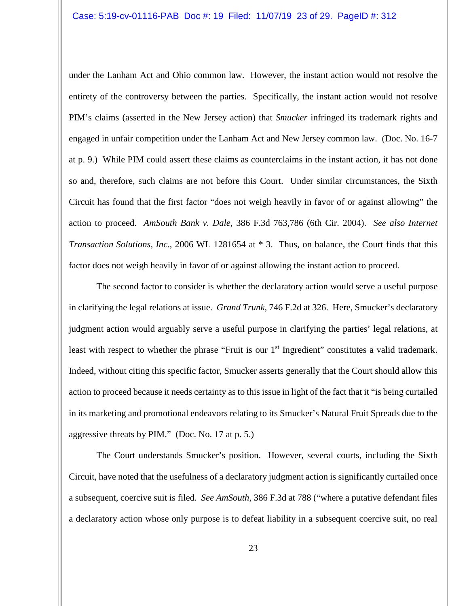under the Lanham Act and Ohio common law. However, the instant action would not resolve the entirety of the controversy between the parties. Specifically, the instant action would not resolve PIM's claims (asserted in the New Jersey action) that *Smucker* infringed its trademark rights and engaged in unfair competition under the Lanham Act and New Jersey common law. (Doc. No. 16-7 at p. 9.) While PIM could assert these claims as counterclaims in the instant action, it has not done so and, therefore, such claims are not before this Court. Under similar circumstances, the Sixth Circuit has found that the first factor "does not weigh heavily in favor of or against allowing" the action to proceed. *AmSouth Bank v. Dale*, 386 F.3d 763,786 (6th Cir. 2004). *See also Internet Transaction Solutions, Inc*., 2006 WL 1281654 at \* 3. Thus, on balance, the Court finds that this factor does not weigh heavily in favor of or against allowing the instant action to proceed.

The second factor to consider is whether the declaratory action would serve a useful purpose in clarifying the legal relations at issue. *Grand Trunk*, 746 F.2d at 326. Here, Smucker's declaratory judgment action would arguably serve a useful purpose in clarifying the parties' legal relations, at least with respect to whether the phrase "Fruit is our 1<sup>st</sup> Ingredient" constitutes a valid trademark. Indeed, without citing this specific factor, Smucker asserts generally that the Court should allow this action to proceed because it needs certainty as to this issue in light of the fact that it "is being curtailed in its marketing and promotional endeavors relating to its Smucker's Natural Fruit Spreads due to the aggressive threats by PIM." (Doc. No. 17 at p. 5.)

The Court understands Smucker's position. However, several courts, including the Sixth Circuit, have noted that the usefulness of a declaratory judgment action is significantly curtailed once a subsequent, coercive suit is filed. *See AmSouth*, 386 F.3d at 788 ("where a putative defendant files a declaratory action whose only purpose is to defeat liability in a subsequent coercive suit, no real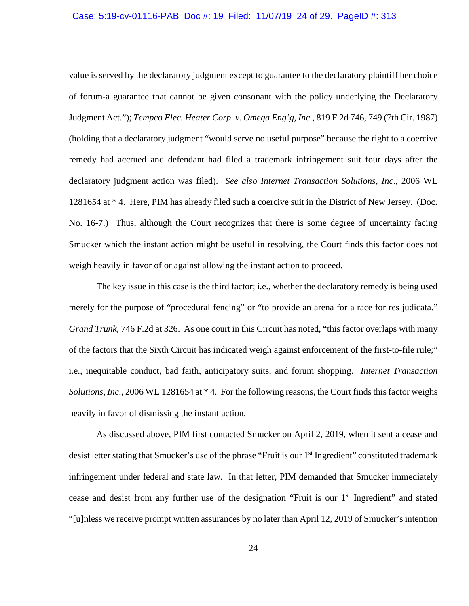value is served by the declaratory judgment except to guarantee to the declaratory plaintiff her choice of forum-a guarantee that cannot be given consonant with the policy underlying the Declaratory Judgment Act."); *Tempco Elec. Heater Corp. v. Omega Eng'g, Inc*., 819 F.2d 746, 749 (7th Cir. 1987) (holding that a declaratory judgment "would serve no useful purpose" because the right to a coercive remedy had accrued and defendant had filed a trademark infringement suit four days after the declaratory judgment action was filed). *See also Internet Transaction Solutions, Inc*., 2006 WL 1281654 at \* 4. Here, PIM has already filed such a coercive suit in the District of New Jersey. (Doc. No. 16-7.) Thus, although the Court recognizes that there is some degree of uncertainty facing Smucker which the instant action might be useful in resolving, the Court finds this factor does not weigh heavily in favor of or against allowing the instant action to proceed.

The key issue in this case is the third factor; i.e., whether the declaratory remedy is being used merely for the purpose of "procedural fencing" or "to provide an arena for a race for res judicata." *Grand Trunk*, 746 F.2d at 326. As one court in this Circuit has noted, "this factor overlaps with many of the factors that the Sixth Circuit has indicated weigh against enforcement of the first-to-file rule;" i.e., inequitable conduct, bad faith, anticipatory suits, and forum shopping. *Internet Transaction Solutions, Inc*., 2006 WL 1281654 at \* 4. For the following reasons, the Court finds this factor weighs heavily in favor of dismissing the instant action.

As discussed above, PIM first contacted Smucker on April 2, 2019, when it sent a cease and desist letter stating that Smucker's use of the phrase "Fruit is our 1st Ingredient" constituted trademark infringement under federal and state law. In that letter, PIM demanded that Smucker immediately cease and desist from any further use of the designation "Fruit is our 1st Ingredient" and stated "[u]nless we receive prompt written assurances by no later than April 12, 2019 of Smucker's intention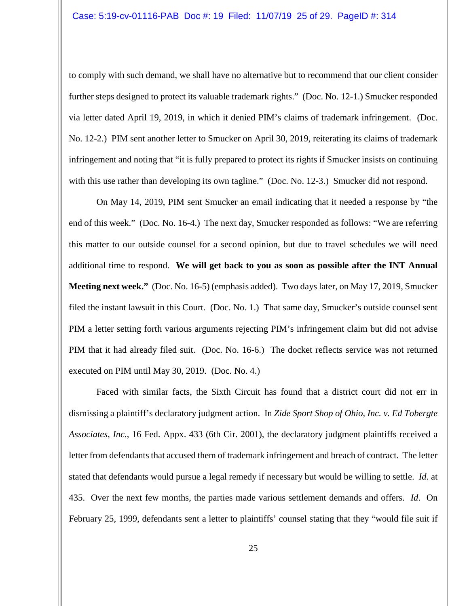to comply with such demand, we shall have no alternative but to recommend that our client consider further steps designed to protect its valuable trademark rights." (Doc. No. 12-1.) Smucker responded via letter dated April 19, 2019, in which it denied PIM's claims of trademark infringement. (Doc. No. 12-2.) PIM sent another letter to Smucker on April 30, 2019, reiterating its claims of trademark infringement and noting that "it is fully prepared to protect its rights if Smucker insists on continuing with this use rather than developing its own tagline." (Doc. No. 12-3.) Smucker did not respond.

On May 14, 2019, PIM sent Smucker an email indicating that it needed a response by "the end of this week." (Doc. No. 16-4.) The next day, Smucker responded as follows: "We are referring this matter to our outside counsel for a second opinion, but due to travel schedules we will need additional time to respond. **We will get back to you as soon as possible after the INT Annual Meeting next week."** (Doc. No. 16-5) (emphasis added). Two days later, on May 17, 2019, Smucker filed the instant lawsuit in this Court. (Doc. No. 1.) That same day, Smucker's outside counsel sent PIM a letter setting forth various arguments rejecting PIM's infringement claim but did not advise PIM that it had already filed suit. (Doc. No. 16-6.) The docket reflects service was not returned executed on PIM until May 30, 2019. (Doc. No. 4.)

Faced with similar facts, the Sixth Circuit has found that a district court did not err in dismissing a plaintiff's declaratory judgment action. In *Zide Sport Shop of Ohio, Inc. v. Ed Tobergte Associates, Inc.*, 16 Fed. Appx. 433 (6th Cir. 2001), the declaratory judgment plaintiffs received a letter from defendants that accused them of trademark infringement and breach of contract. The letter stated that defendants would pursue a legal remedy if necessary but would be willing to settle. *Id*. at 435. Over the next few months, the parties made various settlement demands and offers. *Id*. On February 25, 1999, defendants sent a letter to plaintiffs' counsel stating that they "would file suit if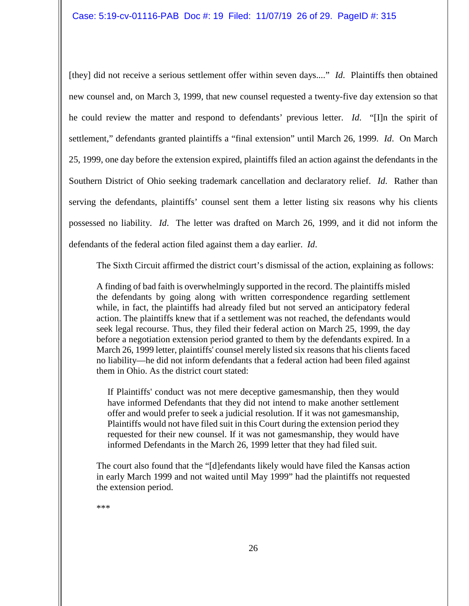[they] did not receive a serious settlement offer within seven days...." *Id*. Plaintiffs then obtained new counsel and, on March 3, 1999, that new counsel requested a twenty-five day extension so that he could review the matter and respond to defendants' previous letter. *Id*. "[I]n the spirit of settlement," defendants granted plaintiffs a "final extension" until March 26, 1999. *Id*. On March 25, 1999, one day before the extension expired, plaintiffs filed an action against the defendants in the Southern District of Ohio seeking trademark cancellation and declaratory relief. *Id*. Rather than serving the defendants, plaintiffs' counsel sent them a letter listing six reasons why his clients possessed no liability. *Id*. The letter was drafted on March 26, 1999, and it did not inform the defendants of the federal action filed against them a day earlier. *Id*.

The Sixth Circuit affirmed the district court's dismissal of the action, explaining as follows:

A finding of bad faith is overwhelmingly supported in the record. The plaintiffs misled the defendants by going along with written correspondence regarding settlement while, in fact, the plaintiffs had already filed but not served an anticipatory federal action. The plaintiffs knew that if a settlement was not reached, the defendants would seek legal recourse. Thus, they filed their federal action on March 25, 1999, the day before a negotiation extension period granted to them by the defendants expired. In a March 26, 1999 letter, plaintiffs' counsel merely listed six reasons that his clients faced no liability—he did not inform defendants that a federal action had been filed against them in Ohio. As the district court stated:

If Plaintiffs' conduct was not mere deceptive gamesmanship, then they would have informed Defendants that they did not intend to make another settlement offer and would prefer to seek a judicial resolution. If it was not gamesmanship, Plaintiffs would not have filed suit in this Court during the extension period they requested for their new counsel. If it was not gamesmanship, they would have informed Defendants in the March 26, 1999 letter that they had filed suit.

The court also found that the "[d]efendants likely would have filed the Kansas action in early March 1999 and not waited until May 1999" had the plaintiffs not requested the extension period.

\*\*\*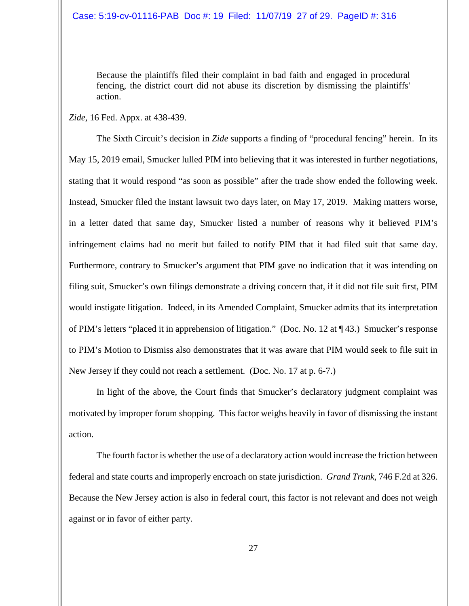Because the plaintiffs filed their complaint in bad faith and engaged in procedural fencing, the district court did not abuse its discretion by dismissing the plaintiffs' action.

*Zide*, 16 Fed. Appx. at 438-439.

The Sixth Circuit's decision in *Zide* supports a finding of "procedural fencing" herein. In its May 15, 2019 email, Smucker lulled PIM into believing that it was interested in further negotiations, stating that it would respond "as soon as possible" after the trade show ended the following week. Instead, Smucker filed the instant lawsuit two days later, on May 17, 2019. Making matters worse, in a letter dated that same day, Smucker listed a number of reasons why it believed PIM's infringement claims had no merit but failed to notify PIM that it had filed suit that same day. Furthermore, contrary to Smucker's argument that PIM gave no indication that it was intending on filing suit, Smucker's own filings demonstrate a driving concern that, if it did not file suit first, PIM would instigate litigation. Indeed, in its Amended Complaint, Smucker admits that its interpretation of PIM's letters "placed it in apprehension of litigation." (Doc. No. 12 at ¶ 43.) Smucker's response to PIM's Motion to Dismiss also demonstrates that it was aware that PIM would seek to file suit in New Jersey if they could not reach a settlement. (Doc. No. 17 at p. 6-7.)

In light of the above, the Court finds that Smucker's declaratory judgment complaint was motivated by improper forum shopping. This factor weighs heavily in favor of dismissing the instant action.

The fourth factor is whether the use of a declaratory action would increase the friction between federal and state courts and improperly encroach on state jurisdiction. *Grand Trunk*, 746 F.2d at 326. Because the New Jersey action is also in federal court, this factor is not relevant and does not weigh against or in favor of either party.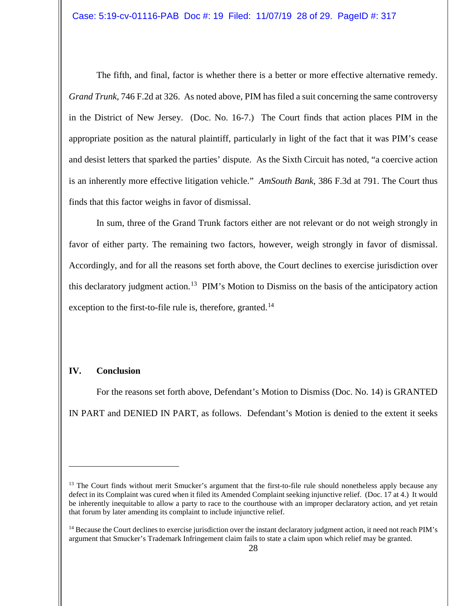The fifth, and final, factor is whether there is a better or more effective alternative remedy. *Grand Trunk*, 746 F.2d at 326. As noted above, PIM has filed a suit concerning the same controversy in the District of New Jersey. (Doc. No. 16-7.) The Court finds that action places PIM in the appropriate position as the natural plaintiff, particularly in light of the fact that it was PIM's cease and desist letters that sparked the parties' dispute. As the Sixth Circuit has noted, "a coercive action is an inherently more effective litigation vehicle." *AmSouth Bank*, 386 F.3d at 791. The Court thus finds that this factor weighs in favor of dismissal.

In sum, three of the Grand Trunk factors either are not relevant or do not weigh strongly in favor of either party. The remaining two factors, however, weigh strongly in favor of dismissal. Accordingly, and for all the reasons set forth above, the Court declines to exercise jurisdiction over this declaratory judgment action.<sup>[13](#page-27-0)</sup> PIM's Motion to Dismiss on the basis of the anticipatory action exception to the first-to-file rule is, therefore, granted.<sup>[14](#page-27-1)</sup>

# **IV. Conclusion**

 $\overline{a}$ 

For the reasons set forth above, Defendant's Motion to Dismiss (Doc. No. 14) is GRANTED IN PART and DENIED IN PART, as follows. Defendant's Motion is denied to the extent it seeks

<span id="page-27-0"></span><sup>&</sup>lt;sup>13</sup> The Court finds without merit Smucker's argument that the first-to-file rule should nonetheless apply because any defect in its Complaint was cured when it filed its Amended Complaint seeking injunctive relief. (Doc. 17 at 4.) It would be inherently inequitable to allow a party to race to the courthouse with an improper declaratory action, and yet retain that forum by later amending its complaint to include injunctive relief.

<span id="page-27-1"></span> $14$  Because the Court declines to exercise jurisdiction over the instant declaratory judgment action, it need not reach PIM's argument that Smucker's Trademark Infringement claim fails to state a claim upon which relief may be granted.